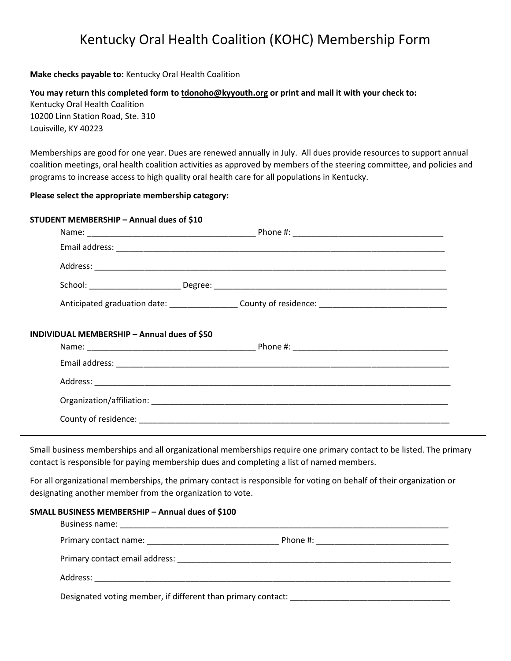# Kentucky Oral Health Coalition (KOHC) Membership Form

#### Make checks payable to: Kentucky Oral Health Coalition

You may return this completed form to tdonoho@kyyouth.org or print and mail it with your check to: Kentucky Oral Health Coalition 10200 Linn Station Road, Ste. 310 Louisville, KY 40223

Memberships are good for one year. Dues are renewed annually in July. All dues provide resources to support annual coalition meetings, oral health coalition activities as approved by members of the steering committee, and policies and programs to increase access to high quality oral health care for all populations in Kentucky.

### Please select the appropriate membership category:

#### STUDENT MEMBERSHIP – Annual dues of \$10

|                                             | Anticipated graduation date: __________________County of residence: ________________________________ |  |
|---------------------------------------------|------------------------------------------------------------------------------------------------------|--|
| INDIVIDUAL MEMBERSHIP - Annual dues of \$50 |                                                                                                      |  |
|                                             |                                                                                                      |  |
|                                             |                                                                                                      |  |
|                                             |                                                                                                      |  |
|                                             |                                                                                                      |  |

Small business memberships and all organizational memberships require one primary contact to be listed. The primary contact is responsible for paying membership dues and completing a list of named members.

For all organizational memberships, the primary contact is responsible for voting on behalf of their organization or designating another member from the organization to vote.

#### SMALL BUSINESS MEMBERSHIP – Annual dues of \$100

| Designated voting member, if different than primary contact: ___________________ |  |
|----------------------------------------------------------------------------------|--|